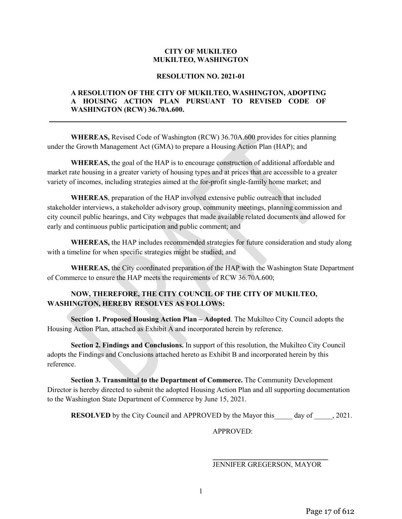## **CITY OF MUKILTEO MUKILTEO, WASHINGTON**

#### **RESOLUTION NO. 2021-01**

## **A RESOLUTION OF THE CITY OF MUKILTEO, WASHINGTON, ADOPTING A HOUSING ACTION PLAN PURSUANT TO REVISED CODE OF WASHINGTON (RCW) 36.70A.600.**

**WHEREAS,** Revised Code of Washington (RCW) 36.70A.600 provides for cities planning under the Growth Management Act (GMA) to prepare a Housing Action Plan (HAP); and

**WHEREAS,** the goal of the HAP is to encourage construction of additional affordable and market rate housing in a greater variety of housing types and at prices that are accessible to a greater variety of incomes, including strategies aimed at the for-profit single-family home market; and

**WHEREAS**, preparation of the HAP involved extensive public outreach that included stakeholder interviews, a stakeholder advisory group, community meetings, planning commission and city council public hearings, and City webpages that made available related documents and allowed for early and continuous public participation and public comment; and

**WHEREAS,** the HAP includes recommended strategies for future consideration and study along with a timeline for when specific strategies might be studied; and

**WHEREAS,** the City coordinated preparation of the HAP with the Washington State Department of Commerce to ensure the HAP meets the requirements of RCW 36.70A.600;

# **NOW, THEREFORE, THE CITY COUNCIL OF THE CITY OF MUKILTEO, WASHINGTON, HEREBY RESOLVES AS FOLLOWS:**

**Section 1. Proposed Housing Action Plan – Adopted**. The Mukilteo City Council adopts the Housing Action Plan, attached as Exhibit A and incorporated herein by reference.

**Section 2. Findings and Conclusions.** In support of this resolution, the Mukilteo City Council adopts the Findings and Conclusions attached hereto as Exhibit B and incorporated herein by this reference.

**Section 3. Transmittal to the Department of Commerce.** The Community Development Director is hereby directed to submit the adopted Housing Action Plan and all supporting documentation to the Washington State Department of Commerce by June 15, 2021.

**RESOLVED** by the City Council and APPROVED by the Mayor this day of  $\qquad$ , 2021.

APPROVED:

#### \_\_\_\_\_\_\_\_\_\_\_\_\_\_\_\_\_\_\_\_\_\_\_\_\_\_\_\_\_\_\_\_ JENNIFER GREGERSON, MAYOR